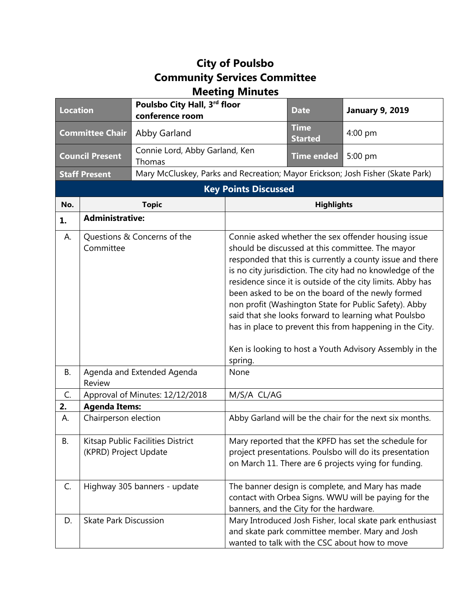## **City of Poulsbo Community Services Committee Meeting Minutes**

| <b>Location</b>             |                                                                                         | Poulsbo City Hall, 3rd floor<br>conference room                                |                                                                                                                                                                                                                                                                                                                                                                                                                                                                                                                                                                                                                 | <b>Date</b>                   | <b>January 9, 2019</b> |  |
|-----------------------------|-----------------------------------------------------------------------------------------|--------------------------------------------------------------------------------|-----------------------------------------------------------------------------------------------------------------------------------------------------------------------------------------------------------------------------------------------------------------------------------------------------------------------------------------------------------------------------------------------------------------------------------------------------------------------------------------------------------------------------------------------------------------------------------------------------------------|-------------------------------|------------------------|--|
| <b>Committee Chair</b>      |                                                                                         | Abby Garland                                                                   |                                                                                                                                                                                                                                                                                                                                                                                                                                                                                                                                                                                                                 | <b>Time</b><br><b>Started</b> | 4:00 pm                |  |
| <b>Council Present</b>      |                                                                                         | Connie Lord, Abby Garland, Ken<br>Thomas                                       |                                                                                                                                                                                                                                                                                                                                                                                                                                                                                                                                                                                                                 | <b>Time ended</b>             | 5:00 pm                |  |
| <b>Staff Present</b>        |                                                                                         | Mary McCluskey, Parks and Recreation; Mayor Erickson; Josh Fisher (Skate Park) |                                                                                                                                                                                                                                                                                                                                                                                                                                                                                                                                                                                                                 |                               |                        |  |
| <b>Key Points Discussed</b> |                                                                                         |                                                                                |                                                                                                                                                                                                                                                                                                                                                                                                                                                                                                                                                                                                                 |                               |                        |  |
| No.                         | <b>Topic</b>                                                                            |                                                                                | <b>Highlights</b>                                                                                                                                                                                                                                                                                                                                                                                                                                                                                                                                                                                               |                               |                        |  |
| 1.                          | <b>Administrative:</b>                                                                  |                                                                                |                                                                                                                                                                                                                                                                                                                                                                                                                                                                                                                                                                                                                 |                               |                        |  |
| А.<br>В.                    | Questions & Concerns of the<br>Committee<br>Agenda and Extended Agenda<br><b>Review</b> |                                                                                | Connie asked whether the sex offender housing issue<br>should be discussed at this committee. The mayor<br>responded that this is currently a county issue and there<br>is no city jurisdiction. The city had no knowledge of the<br>residence since it is outside of the city limits. Abby has<br>been asked to be on the board of the newly formed<br>non profit (Washington State for Public Safety). Abby<br>said that she looks forward to learning what Poulsbo<br>has in place to prevent this from happening in the City.<br>Ken is looking to host a Youth Advisory Assembly in the<br>spring.<br>None |                               |                        |  |
| C.                          | Approval of Minutes: 12/12/2018                                                         |                                                                                | M/S/A CL/AG                                                                                                                                                                                                                                                                                                                                                                                                                                                                                                                                                                                                     |                               |                        |  |
| 2.                          | <b>Agenda Items:</b>                                                                    |                                                                                |                                                                                                                                                                                                                                                                                                                                                                                                                                                                                                                                                                                                                 |                               |                        |  |
| А.                          | Chairperson election                                                                    |                                                                                | Abby Garland will be the chair for the next six months.                                                                                                                                                                                                                                                                                                                                                                                                                                                                                                                                                         |                               |                        |  |
| <b>B.</b>                   | Kitsap Public Facilities District<br>(KPRD) Project Update                              |                                                                                | Mary reported that the KPFD has set the schedule for<br>project presentations. Poulsbo will do its presentation<br>on March 11. There are 6 projects vying for funding.                                                                                                                                                                                                                                                                                                                                                                                                                                         |                               |                        |  |
| C.                          | Highway 305 banners - update                                                            |                                                                                | The banner design is complete, and Mary has made<br>contact with Orbea Signs. WWU will be paying for the<br>banners, and the City for the hardware.                                                                                                                                                                                                                                                                                                                                                                                                                                                             |                               |                        |  |
| D.                          | <b>Skate Park Discussion</b>                                                            |                                                                                | Mary Introduced Josh Fisher, local skate park enthusiast<br>and skate park committee member. Mary and Josh<br>wanted to talk with the CSC about how to move                                                                                                                                                                                                                                                                                                                                                                                                                                                     |                               |                        |  |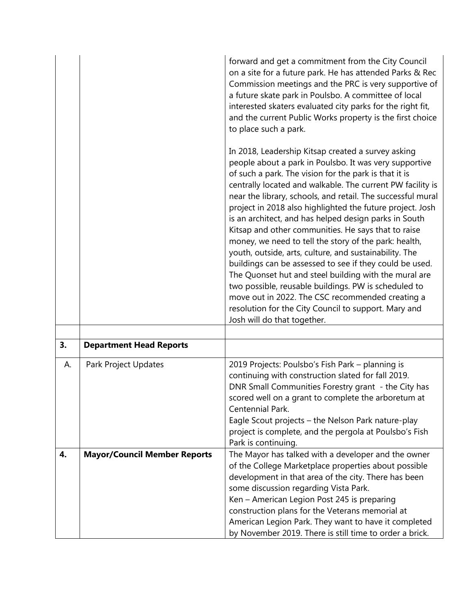|    |                                     | forward and get a commitment from the City Council<br>on a site for a future park. He has attended Parks & Rec<br>Commission meetings and the PRC is very supportive of<br>a future skate park in Poulsbo. A committee of local<br>interested skaters evaluated city parks for the right fit,<br>and the current Public Works property is the first choice<br>to place such a park.                                                                                                                                                                                                                                                                                                                                                                                                                                                                                                                                       |
|----|-------------------------------------|---------------------------------------------------------------------------------------------------------------------------------------------------------------------------------------------------------------------------------------------------------------------------------------------------------------------------------------------------------------------------------------------------------------------------------------------------------------------------------------------------------------------------------------------------------------------------------------------------------------------------------------------------------------------------------------------------------------------------------------------------------------------------------------------------------------------------------------------------------------------------------------------------------------------------|
|    |                                     | In 2018, Leadership Kitsap created a survey asking<br>people about a park in Poulsbo. It was very supportive<br>of such a park. The vision for the park is that it is<br>centrally located and walkable. The current PW facility is<br>near the library, schools, and retail. The successful mural<br>project in 2018 also highlighted the future project. Josh<br>is an architect, and has helped design parks in South<br>Kitsap and other communities. He says that to raise<br>money, we need to tell the story of the park: health,<br>youth, outside, arts, culture, and sustainability. The<br>buildings can be assessed to see if they could be used.<br>The Quonset hut and steel building with the mural are<br>two possible, reusable buildings. PW is scheduled to<br>move out in 2022. The CSC recommended creating a<br>resolution for the City Council to support. Mary and<br>Josh will do that together. |
|    |                                     |                                                                                                                                                                                                                                                                                                                                                                                                                                                                                                                                                                                                                                                                                                                                                                                                                                                                                                                           |
| 3. | <b>Department Head Reports</b>      |                                                                                                                                                                                                                                                                                                                                                                                                                                                                                                                                                                                                                                                                                                                                                                                                                                                                                                                           |
| А. | Park Project Updates                | 2019 Projects: Poulsbo's Fish Park - planning is<br>continuing with construction slated for fall 2019.<br>DNR Small Communities Forestry grant - the City has<br>scored well on a grant to complete the arboretum at<br>Centennial Park.<br>Eagle Scout projects - the Nelson Park nature-play<br>project is complete, and the pergola at Poulsbo's Fish<br>Park is continuing.                                                                                                                                                                                                                                                                                                                                                                                                                                                                                                                                           |
| 4. | <b>Mayor/Council Member Reports</b> | The Mayor has talked with a developer and the owner<br>of the College Marketplace properties about possible<br>development in that area of the city. There has been<br>some discussion regarding Vista Park.<br>Ken - American Legion Post 245 is preparing<br>construction plans for the Veterans memorial at<br>American Legion Park. They want to have it completed<br>by November 2019. There is still time to order a brick.                                                                                                                                                                                                                                                                                                                                                                                                                                                                                         |